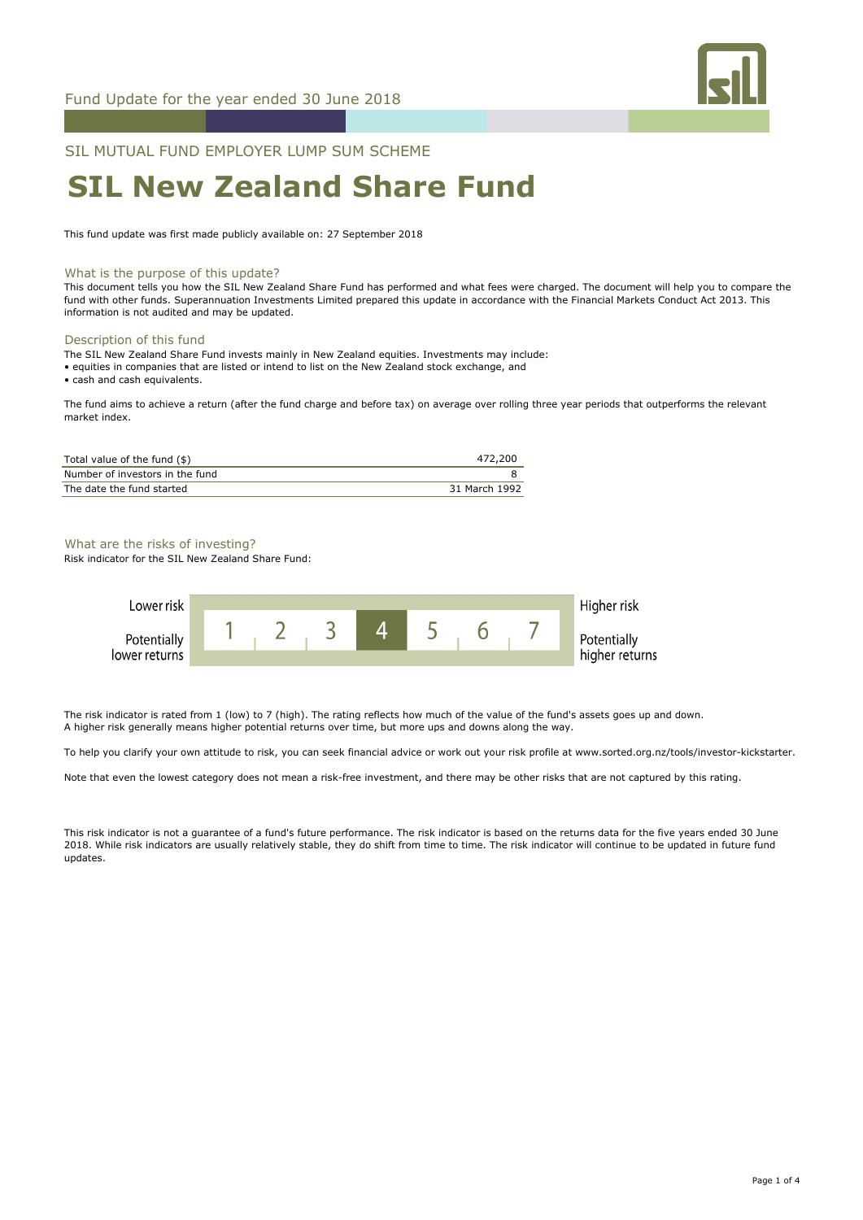

SIL MUTUAL FUND EMPLOYER LUMP SUM SCHEME

# **SIL New Zealand Share Fund**

This fund update was first made publicly available on: 27 September 2018

#### What is the purpose of this update?

This document tells you how the SIL New Zealand Share Fund has performed and what fees were charged. The document will help you to compare the fund with other funds. Superannuation Investments Limited prepared this update in accordance with the Financial Markets Conduct Act 2013. This information is not audited and may be updated.

#### Description of this fund

- The SIL New Zealand Share Fund invests mainly in New Zealand equities. Investments may include:
- equities in companies that are listed or intend to list on the New Zealand stock exchange, and

• cash and cash equivalents.

The fund aims to achieve a return (after the fund charge and before tax) on average over rolling three year periods that outperforms the relevant market index.

| Total value of the fund (\$)    | 472,200       |
|---------------------------------|---------------|
| Number of investors in the fund |               |
| The date the fund started       | 31 March 1992 |

#### What are the risks of investing?

Risk indicator for the SIL New Zealand Share Fund:



The risk indicator is rated from 1 (low) to 7 (high). The rating reflects how much of the value of the fund's assets goes up and down. A higher risk generally means higher potential returns over time, but more ups and downs along the way.

To help you clarify your own attitude to risk, you can seek financial advice or work out your risk profile at www.sorted.org.nz/tools/investor-kickstarter.

Note that even the lowest category does not mean a risk-free investment, and there may be other risks that are not captured by this rating.

This risk indicator is not a guarantee of a fund's future performance. The risk indicator is based on the returns data for the five years ended 30 June 2018. While risk indicators are usually relatively stable, they do shift from time to time. The risk indicator will continue to be updated in future fund updates.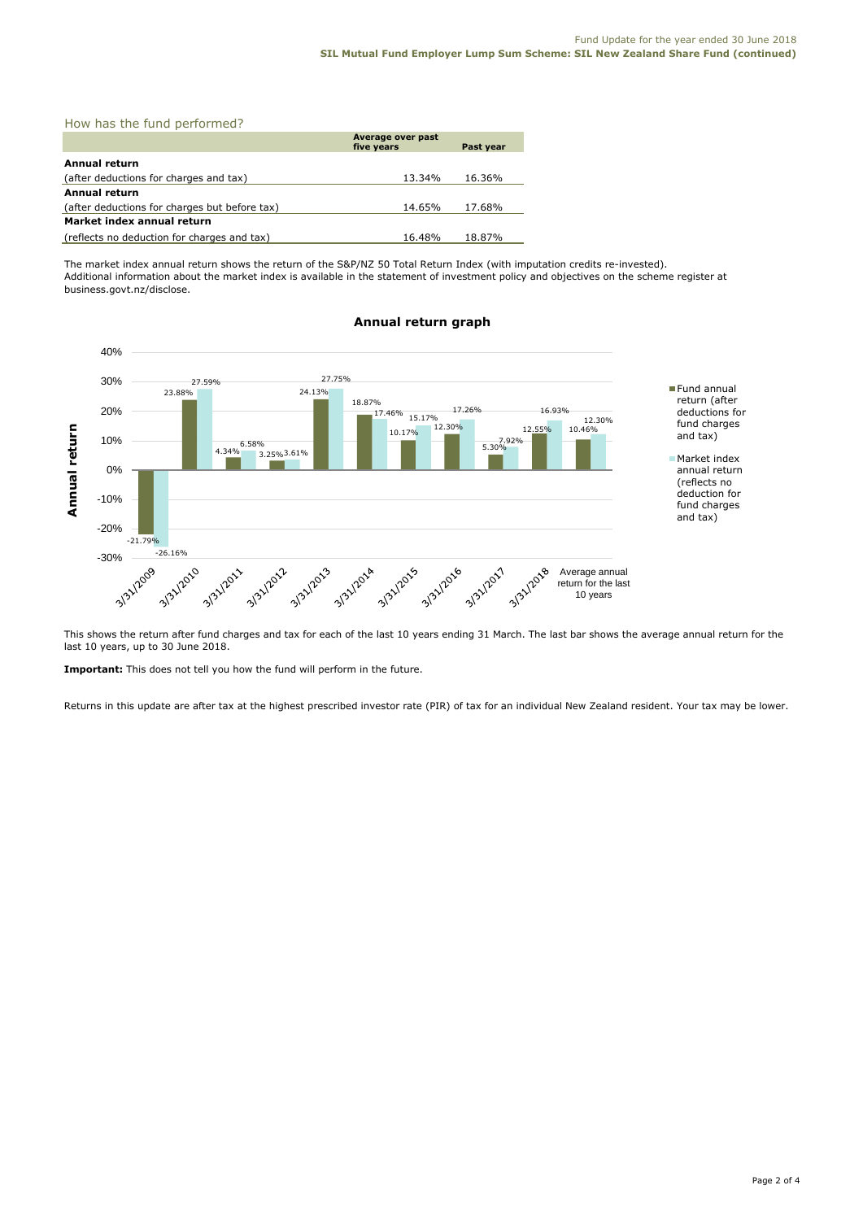|  |  |  |  | How has the fund performed? |  |
|--|--|--|--|-----------------------------|--|
|--|--|--|--|-----------------------------|--|

|                                               | Average over past<br>five years | Past year |  |  |
|-----------------------------------------------|---------------------------------|-----------|--|--|
| Annual return                                 |                                 |           |  |  |
| (after deductions for charges and tax)        | 13.34%                          | 16.36%    |  |  |
| <b>Annual return</b>                          |                                 |           |  |  |
| (after deductions for charges but before tax) | 14.65%                          | 17.68%    |  |  |
| Market index annual return                    |                                 |           |  |  |
| (reflects no deduction for charges and tax)   | 16.48%                          | 18.87%    |  |  |

The market index annual return shows the return of the S&P/NZ 50 Total Return Index (with imputation credits re-invested). Additional information about the market index is available in the statement of investment policy and objectives on the scheme register at business.govt.nz/disclose.



# **Annual return graph**

This shows the return after fund charges and tax for each of the last 10 years ending 31 March. The last bar shows the average annual return for the last 10 years, up to 30 June 2018.

**Important:** This does not tell you how the fund will perform in the future.

Returns in this update are after tax at the highest prescribed investor rate (PIR) of tax for an individual New Zealand resident. Your tax may be lower.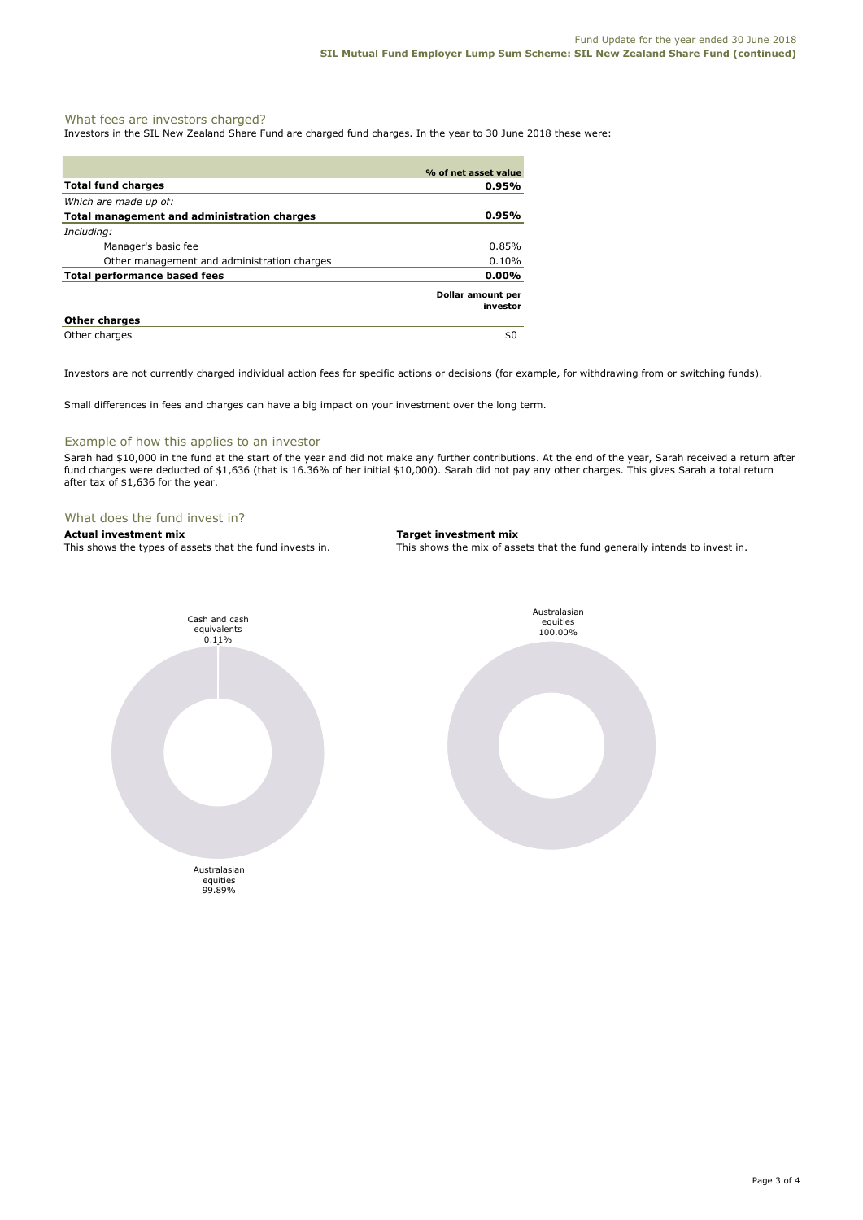#### What fees are investors charged?

Investors in the SIL New Zealand Share Fund are charged fund charges. In the year to 30 June 2018 these were:

|                                             | % of net asset value          |
|---------------------------------------------|-------------------------------|
| <b>Total fund charges</b>                   | $0.95\%$                      |
| Which are made up of:                       |                               |
| Total management and administration charges | $0.95\%$                      |
| Including:                                  |                               |
| Manager's basic fee                         | 0.85%                         |
| Other management and administration charges | 0.10%                         |
| Total performance based fees                | $0.00\%$                      |
|                                             | Dollar amount per<br>investor |
| <b>Other charges</b>                        |                               |
| Other charges                               | \$0                           |

Investors are not currently charged individual action fees for specific actions or decisions (for example, for withdrawing from or switching funds).

Small differences in fees and charges can have a big impact on your investment over the long term.

#### Example of how this applies to an investor

Sarah had \$10,000 in the fund at the start of the year and did not make any further contributions. At the end of the year, Sarah received a return after fund charges were deducted of \$1,636 (that is 16.36% of her initial \$10,000). Sarah did not pay any other charges. This gives Sarah a total return after tax of \$1,636 for the year.

#### What does the fund invest in?

**Actual investment mix**<br>This shows the types of assets that the fund invests in. This shows the mix of ass

This shows the mix of assets that the fund generally intends to invest in.